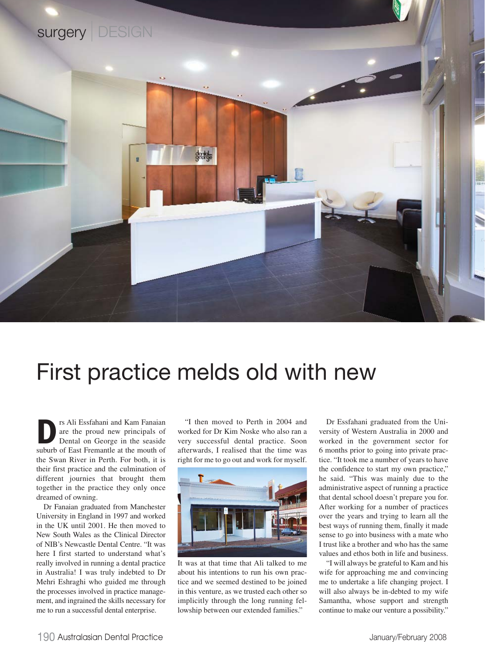

## First practice melds old with new

**D**rs Ali Essfahani and Kam Fanaian<br>are the proud new principals of<br>Dental on George in the seaside<br>suburb of East Fremantle at the mouth of are the proud new principals of Dental on George in the seaside suburb of East Fremantle at the mouth of the Swan River in Perth. For both, it is their first practice and the culmination of different journies that brought them together in the practice they only once dreamed of owning.

Dr Fanaian graduated from Manchester University in England in 1997 and worked in the UK until 2001. He then moved to New South Wales as the Clinical Director of NIB's Newcastle Dental Centre. "It was here I first started to understand what's really involved in running a dental practice in Australia! I was truly indebted to Dr Mehri Eshraghi who guided me through the processes involved in practice management, and ingrained the skills necessary for me to run a successful dental enterprise.

"I then moved to Perth in 2004 and worked for Dr Kim Noske who also ran a very successful dental practice. Soon afterwards, I realised that the time was right for me to go out and work for myself.



It was at that time that Ali talked to me about his intentions to run his own practice and we seemed destined to be joined in this venture, as we trusted each other so implicitly through the long running fellowship between our extended families."

Dr Essfahani graduated from the University of Western Australia in 2000 and worked in the government sector for 6 months prior to going into private practice. "It took me a number of years to have the confidence to start my own practice," he said. "This was mainly due to the administrative aspect of running a practice that dental school doesn't prepare you for. After working for a number of practices over the years and trying to learn all the best ways of running them, finally it made sense to go into business with a mate who I trust like a brother and who has the same values and ethos both in life and business.

"I will always be grateful to Kam and his wife for approaching me and convincing me to undertake a life changing project. I will also always be in-debted to my wife Samantha, whose support and strength continue to make our venture a possibility."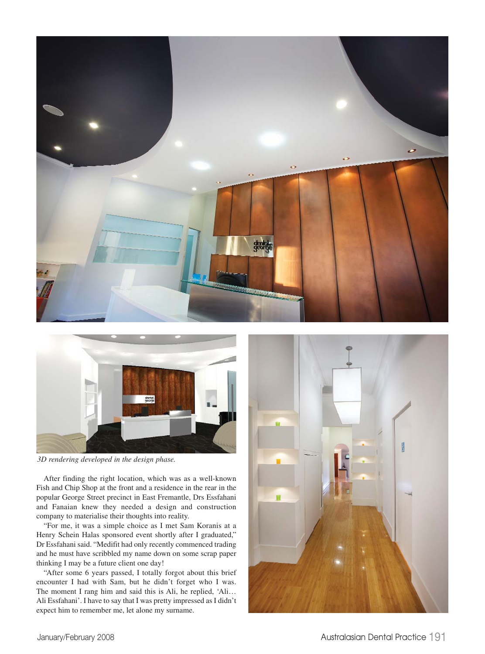



*3D rendering developed in the design phase.*

After finding the right location, which was as a well-known Fish and Chip Shop at the front and a residence in the rear in the popular George Street precinct in East Fremantle, Drs Essfahani and Fanaian knew they needed a design and construction company to materialise their thoughts into reality.

"For me, it was a simple choice as I met Sam Koranis at a Henry Schein Halas sponsored event shortly after I graduated," Dr Essfahani said. "Medifit had only recently commenced trading and he must have scribbled my name down on some scrap paper thinking I may be a future client one day!

"After some 6 years passed, I totally forgot about this brief encounter I had with Sam, but he didn't forget who I was. The moment I rang him and said this is Ali, he replied, 'Ali… Ali Essfahani'. I have to say that I was pretty impressed as I didn't expect him to remember me, let alone my surname.

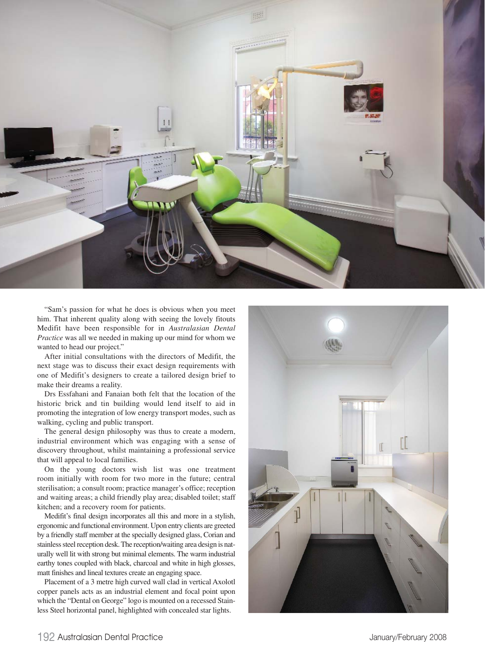

"Sam's passion for what he does is obvious when you meet him. That inherent quality along with seeing the lovely fitouts Medifit have been responsible for in *Australasian Dental Practice* was all we needed in making up our mind for whom we wanted to head our project."

After initial consultations with the directors of Medifit, the next stage was to discuss their exact design requirements with one of Medifit's designers to create a tailored design brief to make their dreams a reality.

Drs Essfahani and Fanaian both felt that the location of the historic brick and tin building would lend itself to aid in promoting the integration of low energy transport modes, such as walking, cycling and public transport.

The general design philosophy was thus to create a modern, industrial environment which was engaging with a sense of discovery throughout, whilst maintaining a professional service that will appeal to local families.

On the young doctors wish list was one treatment room initially with room for two more in the future; central sterilisation; a consult room; practice manager's office; reception and waiting areas; a child friendly play area; disabled toilet; staff kitchen; and a recovery room for patients.

Medifit's final design incorporates all this and more in a stylish, ergonomic and functional environment. Upon entry clients are greeted by a friendly staff member at the specially designed glass, Corian and stainless steel reception desk. The reception/waiting area design is naturally well lit with strong but minimal elements. The warm industrial earthy tones coupled with black, charcoal and white in high glosses, matt finishes and lineal textures create an engaging space.

Placement of a 3 metre high curved wall clad in vertical Axolotl copper panels acts as an industrial element and focal point upon which the "Dental on George" logo is mounted on a recessed Stainless Steel horizontal panel, highlighted with concealed star lights.